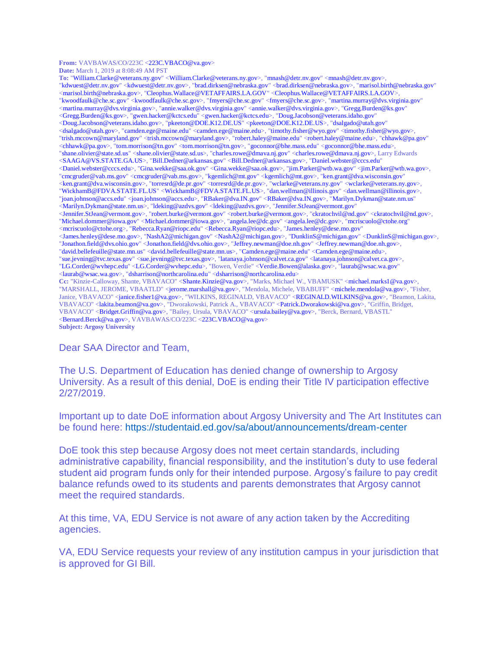**From:** VAVBAWAS/CO/223C <223C.VBACO@va.gov> **Date:** March 1, 2019 at 8:08:49 AM PST

**To:** "William.Clarke@veterans.ny.gov" <William.Clarke@veterans.ny.gov>, "mnash@detr.nv.gov" <mnash@detr.nv.gov>, "kdwuest@detr.nv.gov" <kdwuest@detr.nv.gov>, "brad.dirksen@nebraska.gov" <brad.dirksen@nebraska.gov>, "marisol.birth@nebraska.gov" <marisol.birth@nebraska.gov>, "Cleophus.Wallace@VETAFFAIRS.LA.GOV" <Cleophus.Wallace@VETAFFAIRS.LA.GOV>, "kwoodfaulk@che.sc.gov" <kwoodfaulk@che.sc.gov>, "fmyers@che.sc.gov" <fmyers@che.sc.gov>, "martina.murray@dvs.virginia.gov" <martina.murray@dvs.virginia.gov>, "annie.walker@dvs.virginia.gov" <annie.walker@dvs.virginia.gov>, "Gregg.Burden@ks.gov" <Gregg.Burden@ks.gov>, "gwen.hacker@kctcs.edu" <gwen.hacker@kctcs.edu>, "Doug.Jacobson@veterans.idaho.gov" <Doug.Jacobson@veterans.idaho.gov>, "pkeeton@DOE.K12.DE.US" <pkeeton@DOE.K12.DE.US>, "dsalgado@utah.gov" <dsalgado@utah.gov>, "camden.ege@maine.edu" <camden.ege@maine.edu>, "timothy.fisher@wyo.gov" <timothy.fisher@wyo.gov>, "trish.mccown@maryland.gov" <trish.mccown@maryland.gov>, "robert.haley@maine.edu" <robert.haley@maine.edu>, "chhawk@pa.gov" <chhawk@pa.gov>, "tom.morrison@tn.gov" <tom.morrison@tn.gov>, "goconnor@bhe.mass.edu" <goconnor@bhe.mass.edu>, "shane.olivier@state.sd.us" <shane.olivier@state.sd.us>, "charles.rowe@dmava.nj.gov" <charles.rowe@dmava.nj.gov>, Larry Edwards <SAAGA@VS.STATE.GA.US>, "Bill.Dedner@arkansas.gov" <Bill.Dedner@arkansas.gov>, "Daniel.webster@cccs.edu" <Daniel.webster@cccs.edu>, "Gina.wekke@saa.ok.gov" <Gina.wekke@saa.ok.gov>, "jim.Parker@wtb.wa.gov" <jim.Parker@wtb.wa.gov>, "cmcgruder@vab.ms.gov" <cmcgruder@vab.ms.gov>, "kgemlich@mt.gov" <kgemlich@mt.gov>, "ken.grant@dva.wisconsin.gov" <ken.grant@dva.wisconsin.gov>, "torresrd@de.pr.gov" <torresrd@de.pr.gov>, "wclarke@veterans.ny.gov" <wclarke@veterans.ny.gov>, "WickhamB@FDVA.STATE.FL.US" <WickhamB@FDVA.STATE.FL.US>, "dan.wellman@illinois.gov" <dan.wellman@illinois.gov>, "joan.johnson@accs.edu" <joan.johnson@accs.edu>, "RBaker@dva.IN.gov" <RBaker@dva.IN.gov>, "Marilyn.Dykman@state.nm.us" <Marilyn.Dykman@state.nm.us>, "ldeking@azdvs.gov" <ldeking@azdvs.gov>, "Jennifer.StJean@vermont.gov" <Jennifer.StJean@vermont.gov>, "robert.burke@vermont.gov" <robert.burke@vermont.gov>, "ckratochvil@nd.gov" <ckratochvil@nd.gov>, "Michael.dommer@iowa.gov" <Michael.dommer@iowa.gov>, "angela.lee@dc.gov" <angela.lee@dc.gov>, "mcriscuolo@ctohe.org" <mcriscuolo@ctohe.org>, "Rebecca.Ryan@riopc.edu" <Rebecca.Ryan@riopc.edu>, "James.henley@dese.mo.gov" <James.henley@dese.mo.gov>, "NashA2@michigan.gov" <NashA2@michigan.gov>, "DunklinS@michigan.gov" <DunklinS@michigan.gov>, "Jonathon.field@dvs.ohio.gov" <Jonathon.field@dvs.ohio.gov>, "Jeffrey.newman@doe.nh.gov" <Jeffrey.newman@doe.nh.gov>, "david.bellefeuille@state.mn.us" <david.bellefeuille@state.mn.us>, "Camden.ege@maine.edu" <Camden.ege@maine.edu>, "sue.jevning@tvc.texas.gov" <sue.jevning@tvc.texas.gov>, "latanaya.johnson@calvet.ca.gov" <latanaya.johnson@calvet.ca.gov>, "LG.Corder@wvhepc.edu" <LG.Corder@wvhepc.edu>, "Bowen, Verdie" <Verdie.Bowen@alaska.gov>, "laurab@wsac.wa.gov" <laurab@wsac.wa.gov>, "dsharrison@northcarolina.edu" <dsharrison@northcarolina.edu> **Cc:** "Kinzie-Calloway, Shante, VBAVACO" <Shante.Kinzie@va.gov>, "Marks, Michael W., VBAMUSK" <michael.marks1@va.gov>, "MARSHALL, JEROME, VBAATLD" <jerome.marshall@va.gov>, "Mendola, Michele, VBABUFF" <michele.mendola@va.gov>, "Fisher, Janice, VBAVACO" <janice.fisher1@va.gov>, "WILKINS, REGINALD, VBAVACO" <REGINALD.WILKINS@va.gov>, "Beamon, Lakita, VBAVACO" <lakita.beamon@va.gov>, "Dworakowski, Patrick A., VBAVACO" <Patrick.Dworakowski@va.gov>, "Griffin, Bridget, VBAVACO" <Bridget.Griffin@va.gov>, "Bailey, Ursula, VBAVACO" <ursula.bailey@va.gov>, "Berck, Bernard, VBASTL" <Bernard.Berck@va.gov>, VAVBAWAS/CO/223C <223C.VBACO@va.gov> **Subject: Argosy University** 

Dear SAA Director and Team,

The U.S. Department of Education has denied change of ownership to Argosy University. As a result of this denial, DoE is ending their Title IV participation effective 2/27/2019.

Important up to date DoE information about Argosy University and The Art Institutes can be found here: https://studentaid.ed.gov/sa/about/announcements/dream-center

DoE took this step because Argosy does not meet certain standards, including administrative capability, financial responsibility, and the institution's duty to use federal student aid program funds only for their intended purpose. Argosy's failure to pay credit balance refunds owed to its students and parents demonstrates that Argosy cannot meet the required standards.

At this time, VA, EDU Service is not aware of any action taken by the Accrediting agencies.

VA, EDU Service requests your review of any institution campus in your jurisdiction that is approved for GI Bill.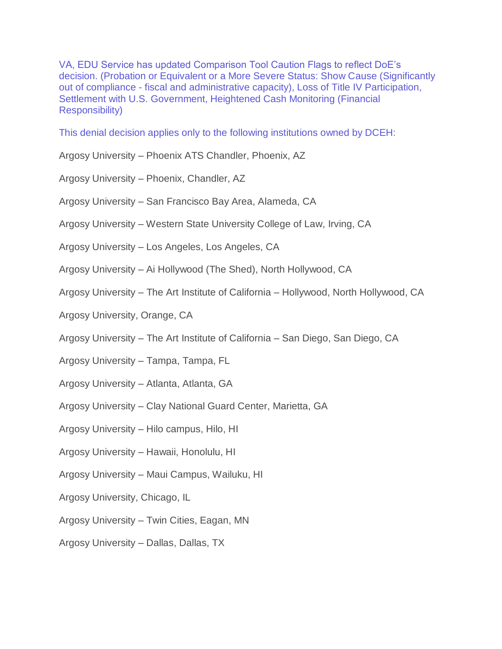VA, EDU Service has updated Comparison Tool Caution Flags to reflect DoE's decision. (Probation or Equivalent or a More Severe Status: Show Cause (Significantly out of compliance - fiscal and administrative capacity), Loss of Title IV Participation, Settlement with U.S. Government, Heightened Cash Monitoring (Financial Responsibility)

This denial decision applies only to the following institutions owned by DCEH:

- Argosy University Phoenix ATS Chandler, Phoenix, AZ
- Argosy University Phoenix, Chandler, AZ
- Argosy University San Francisco Bay Area, Alameda, CA
- Argosy University Western State University College of Law, Irving, CA
- Argosy University Los Angeles, Los Angeles, CA
- Argosy University Ai Hollywood (The Shed), North Hollywood, CA
- Argosy University The Art Institute of California Hollywood, North Hollywood, CA
- Argosy University, Orange, CA
- Argosy University The Art Institute of California San Diego, San Diego, CA
- Argosy University Tampa, Tampa, FL
- Argosy University Atlanta, Atlanta, GA
- Argosy University Clay National Guard Center, Marietta, GA
- Argosy University Hilo campus, Hilo, HI
- Argosy University Hawaii, Honolulu, HI
- Argosy University Maui Campus, Wailuku, HI
- Argosy University, Chicago, IL
- Argosy University Twin Cities, Eagan, MN
- Argosy University Dallas, Dallas, TX